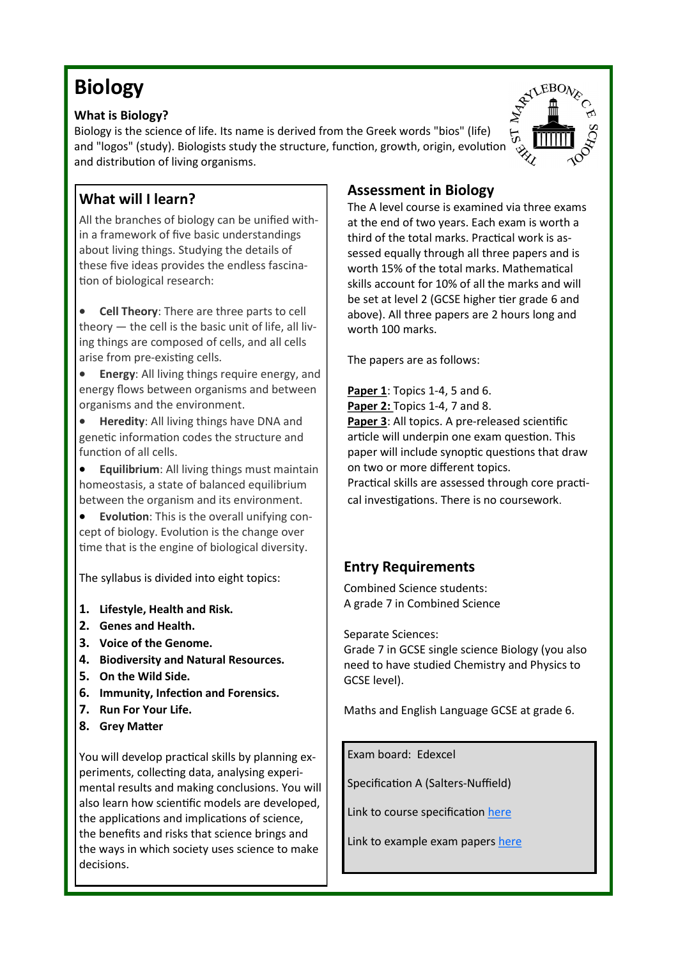# **Biology**

#### **What is Biology?**

Biology is the science of life. Its name is derived from the Greek words "bios" (life) and "logos" (study). Biologists study the structure, function, growth, origin, evolution and distribution of living organisms.

## **What will I learn?**

All the branches of biology can be unified within a framework of five basic understandings about living things. Studying the details of these five ideas provides the endless fascination of biological research:

• **Cell Theory**: There are three parts to cell theory — the cell is the basic unit of life, all living things are composed of cells, and all cells arise from pre-existing cells.

**Energy:** All living things require energy, and energy flows between organisms and between organisms and the environment.

• **Heredity**: All living things have DNA and genetic information codes the structure and function of all cells.

• **Equilibrium**: All living things must maintain homeostasis, a state of balanced equilibrium between the organism and its environment.

• **Evolution**: This is the overall unifying concept of biology. Evolution is the change over time that is the engine of biological diversity.

The syllabus is divided into eight topics:

- **1. Lifestyle, Health and Risk.**
- **2. Genes and Health.**
- **3. Voice of the Genome.**
- **4. Biodiversity and Natural Resources.**
- **5. On the Wild Side.**
- **6. Immunity, Infection and Forensics.**
- **7. Run For Your Life.**
- **8. Grey Matter**

You will develop practical skills by planning experiments, collecting data, analysing experimental results and making conclusions. You will also learn how scientific models are developed, the applications and implications of science, the benefits and risks that science brings and the ways in which society uses science to make decisions.

### **Assessment in Biology**

The A level course is examined via three exams at the end of two years. Each exam is worth a third of the total marks. Practical work is assessed equally through all three papers and is worth 15% of the total marks. Mathematical skills account for 10% of all the marks and will be set at level 2 (GCSE higher tier grade 6 and above). All three papers are 2 hours long and worth 100 marks.

The papers are as follows:

**Paper 1**: Topics 1-4, 5 and 6. **Paper 2: Topics 1-4, 7 and 8. Paper 3**: All topics. A pre-released scientific article will underpin one exam question. This paper will include synoptic questions that draw on two or more different topics. Practical skills are assessed through core practical investigations. There is no coursework.

## **Entry Requirements**

Combined Science students: A grade 7 in Combined Science

Separate Sciences:

Grade 7 in GCSE single science Biology (you also need to have studied Chemistry and Physics to GCSE level).

Maths and English Language GCSE at grade 6.

Exam board: Edexcel

Specification A (Salters-Nuffield)

Link to course specification [here](https://qualifications.pearson.com/en/qualifications/edexcel-a-levels/biology-a-2015.html)

Link to example exam papers [here](https://qualifications.pearson.com/en/qualifications/edexcel-a-levels/biology-a-2015.coursematerials.html#%2FfilterQuery=category:Pearson-UK:Category%2FExam-materials)